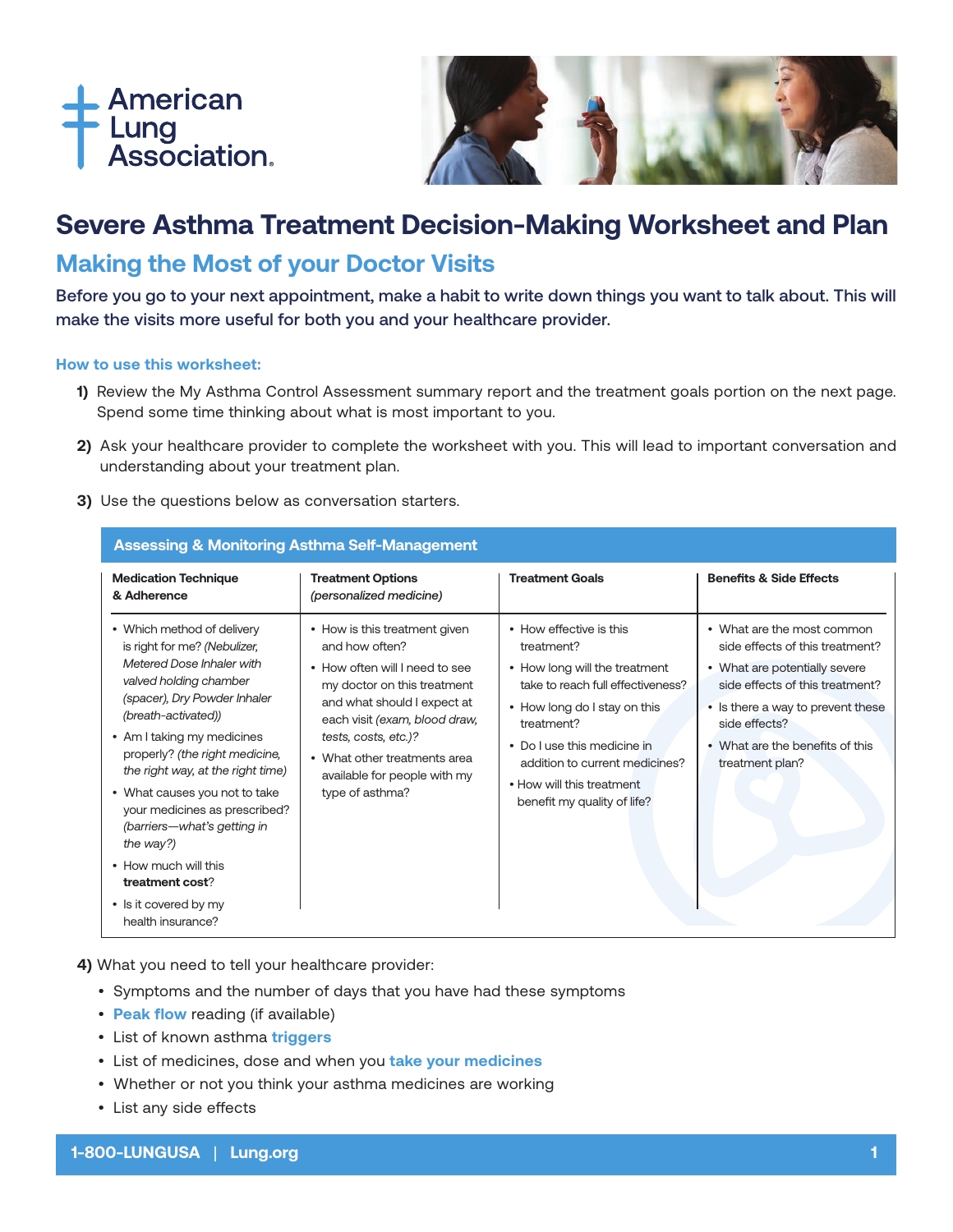



# **Severe Asthma Treatment Decision-Making Worksheet and Plan**

## **Making the Most of your Doctor Visits**

Before you go to your next appointment, make a habit to write down things you want to talk about. This will make the visits more useful for both you and your healthcare provider.

#### **How to use this worksheet:**

- **1)** Review the My Asthma Control Assessment summary report and the treatment goals portion on the next page. Spend some time thinking about what is most important to you.
- **2)** Ask your healthcare provider to complete the worksheet with you. This will lead to important conversation and understanding about your treatment plan.
- **3)** Use the questions below as conversation starters.

| <b>Assessing &amp; Monitoring Asthma Self-Management</b>                                                                                                                                                                                                                                                                                                                                                                                                                             |                                                                                                                                                                                                                                                                                             |                                                                                                                                                                                                                                                                                        |                                                                                                                                                                                                                                               |  |  |
|--------------------------------------------------------------------------------------------------------------------------------------------------------------------------------------------------------------------------------------------------------------------------------------------------------------------------------------------------------------------------------------------------------------------------------------------------------------------------------------|---------------------------------------------------------------------------------------------------------------------------------------------------------------------------------------------------------------------------------------------------------------------------------------------|----------------------------------------------------------------------------------------------------------------------------------------------------------------------------------------------------------------------------------------------------------------------------------------|-----------------------------------------------------------------------------------------------------------------------------------------------------------------------------------------------------------------------------------------------|--|--|
| <b>Medication Technique</b><br>& Adherence                                                                                                                                                                                                                                                                                                                                                                                                                                           | <b>Treatment Options</b><br>(personalized medicine)                                                                                                                                                                                                                                         | <b>Treatment Goals</b>                                                                                                                                                                                                                                                                 | <b>Benefits &amp; Side Effects</b>                                                                                                                                                                                                            |  |  |
| • Which method of delivery<br>is right for me? (Nebulizer,<br>Metered Dose Inhaler with<br>valved holding chamber<br>(spacer), Dry Powder Inhaler<br>(breath-activated))<br>• Am I taking my medicines<br>properly? (the right medicine,<br>the right way, at the right time)<br>• What causes you not to take<br>your medicines as prescribed?<br>(barriers-what's getting in<br>the way?)<br>• How much will this<br>treatment cost?<br>• Is it covered by my<br>health insurance? | • How is this treatment given<br>and how often?<br>• How often will I need to see<br>my doctor on this treatment<br>and what should I expect at<br>each visit (exam, blood draw,<br>tests, costs, etc.)?<br>• What other treatments area<br>available for people with my<br>type of asthma? | • How effective is this<br>treatment?<br>• How long will the treatment<br>take to reach full effectiveness?<br>• How long do I stay on this<br>treatment?<br>• Do I use this medicine in<br>addition to current medicines?<br>• How will this treatment<br>benefit my quality of life? | • What are the most common<br>side effects of this treatment?<br>• What are potentially severe<br>side effects of this treatment?<br>• Is there a way to prevent these<br>side effects?<br>• What are the benefits of this<br>treatment plan? |  |  |

**4)** What you need to tell your healthcare provider:

- Symptoms and the number of days that you have had these symptoms
- **[Peak flow](https://www.lung.org/lung-health-and-diseases/lung-disease-lookup/asthma/living-with-asthma/managing-asthma/measuring-your-peak-flow-rate.html)** reading (if available)
- List of known asthma **[triggers](https://www.lung.org/getmedia/cde757c3-752a-4067-b040-9a64533669ef/asthma-triggers-english.pdf.pdf)**
- List of medicines, dose and when you **[take your medicines](https://www.lung.org/getmedia/fe89bbc8-d0ca-4e89-aa5e-630cdd128d19/asthma-medicine-schedule.pdf.pdf)**
- Whether or not you think your asthma medicines are working
- List any side effects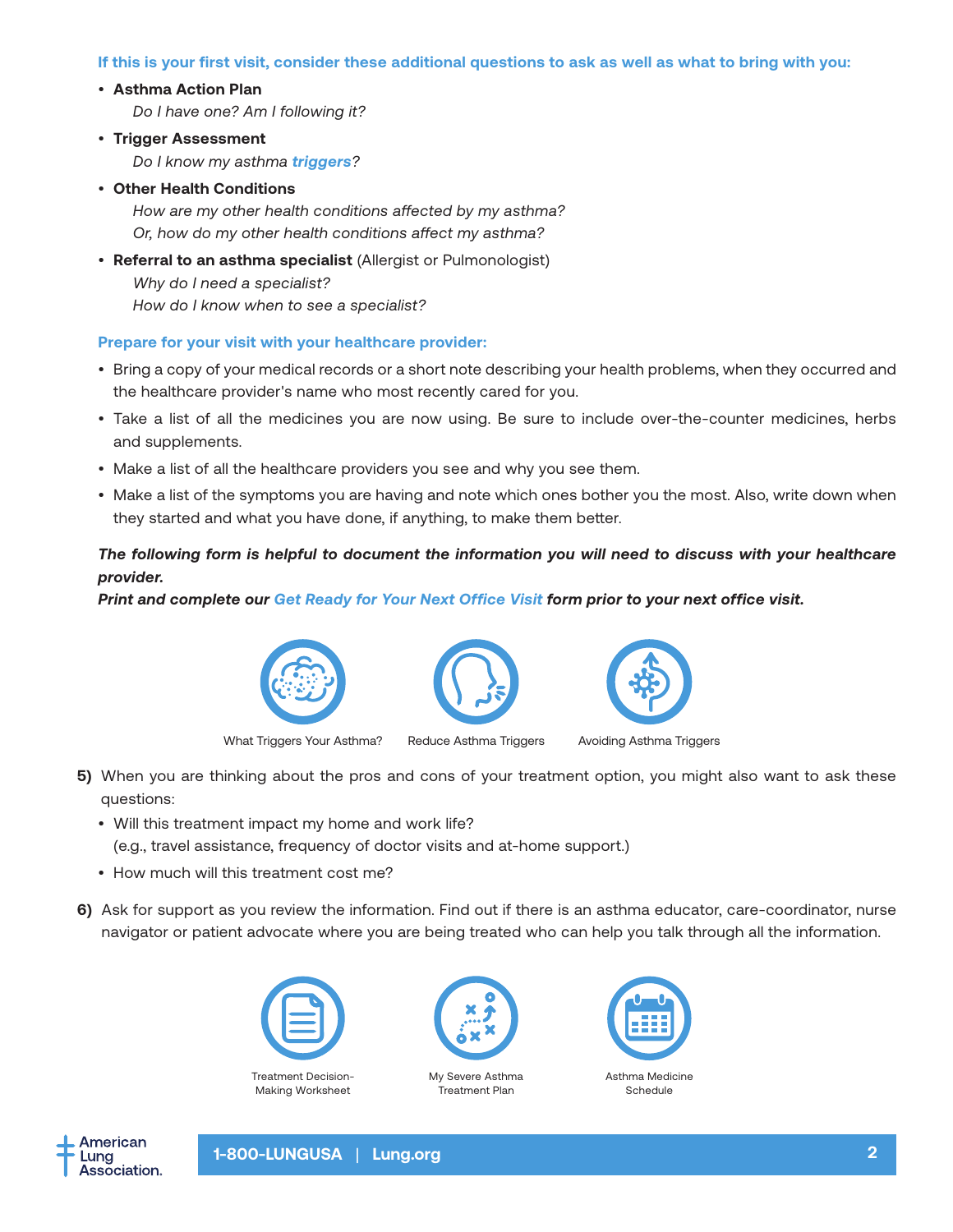#### **If this is your first visit, consider these additional questions to ask as well as what to bring with you:**

#### • **Asthma Action Plan**

*Do I have one? Am I following it?* 

- **Trigger Assessment** *Do I know my asthma [triggers](https://www.lung.org/getmedia/19d25eb6-6934-4606-b1ba-9d6ce6e0fb4f/asthma-triggers-2021.pdf)?*
- **Other Health Conditions**

*How are my other health conditions affected by my asthma? Or, how do my other health conditions affect my asthma?*

• **Referral to an asthma specialist** (Allergist or Pulmonologist) *Why do I need a specialist? How do I know when to see a specialist?*

#### **Prepare for your visit with your healthcare provider:**

- Bring a copy of your medical records or a short note describing your health problems, when they occurred and the healthcare provider's name who most recently cared for you.
- Take a list of all the medicines you are now using. Be sure to include over-the-counter medicines, herbs and supplements.
- Make a list of all the healthcare providers you see and why you see them.
- Make a list of the symptoms you are having and note which ones bother you the most. Also, write down when they started and what you have done, if anything, to make them better.

### *The following form is helpful to document the information you will need to discuss with your healthcare provider.*

*Print and complete our [Get Ready for Your Next Office Visit](https://www.lung.org/getmedia/c846bb89-3882-4efa-8f62-d5c64983e683/Get-Ready_Office-Visit.pdf.pdf) form prior to your next office visit.*



[What Triggers Your Asthma?](https://www.lung.org/getmedia/19d25eb6-6934-4606-b1ba-9d6ce6e0fb4f/asthma-triggers-2021.pdf) [Reduce Asthma Triggers](https://www.lung.org/lung-health-diseases/lung-disease-lookup/asthma/living-with-asthma/managing-asthma/reduce-asthma-triggers) [Avoiding Asthma Triggers](https://www.lung.org/getmedia/d3bafd22-cb2c-48cb-9855-4d3b1d891a17/avoiding-and-controlling-triggers.pdf.pdf?ext=.pdf)





- **5)** When you are thinking about the pros and cons of your treatment option, you might also want to ask these questions:
	- Will this treatment impact my home and work life? (e.g., travel assistance, frequency of doctor visits and at-home support.)
	- How much will this treatment cost me?
- **6)**Ask for support as you review the information. Find out if there is an asthma educator, care-coordinator, nurse navigator or patient advocate where you are being treated who can help you talk through all the information.





[My Severe Asthma](https://www.lung.org/lung-health-diseases/lung-disease-lookup/asthma/learn-about-asthma/severe-asthma-tool) Treatment Plan



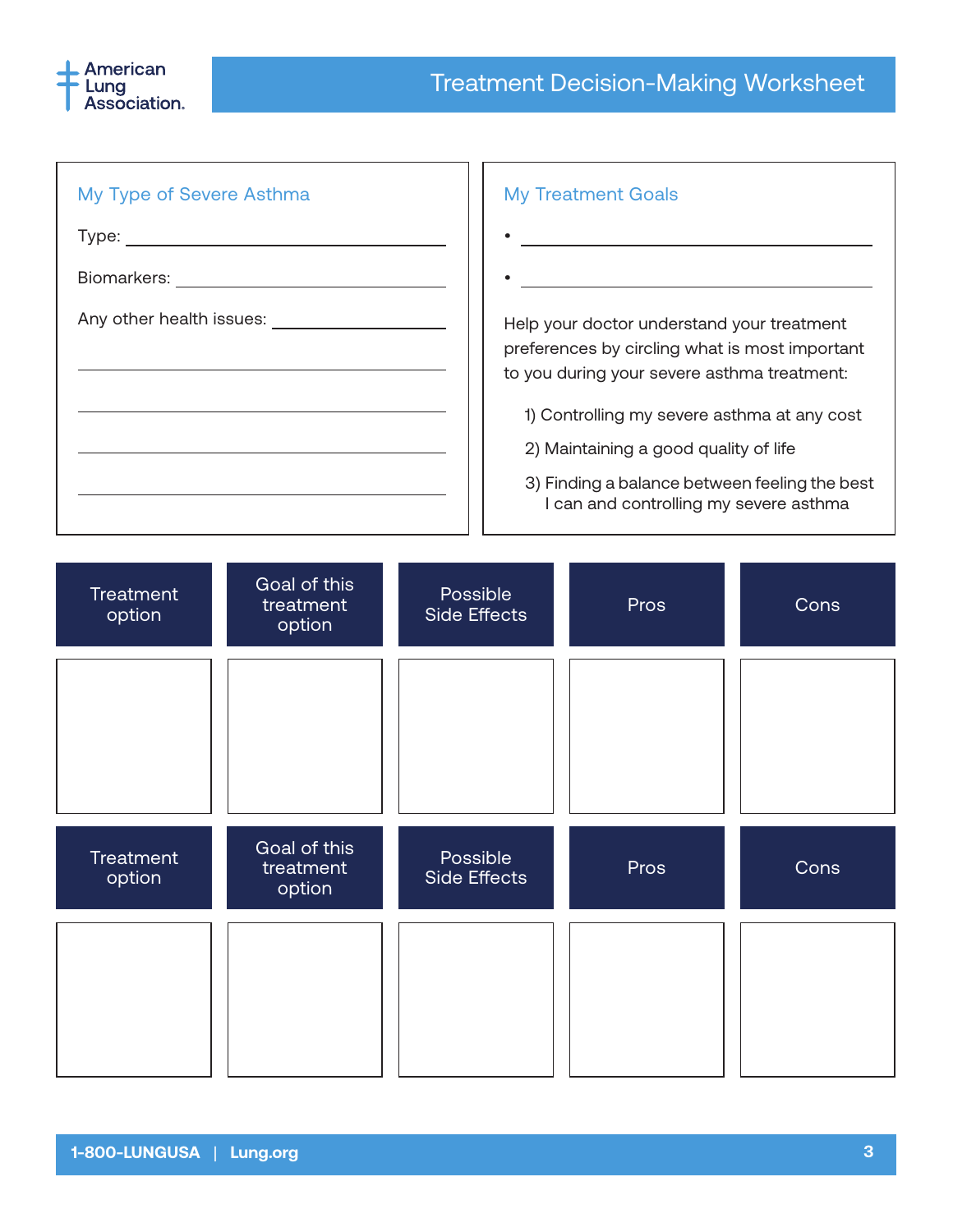

| My Type of Severe Asthma | <b>My Treatment Goals</b>                                                                                                                                                                  |
|--------------------------|--------------------------------------------------------------------------------------------------------------------------------------------------------------------------------------------|
| Type:                    |                                                                                                                                                                                            |
| Biomarkers:              |                                                                                                                                                                                            |
| Any other health issues: | Help your doctor understand your treatment<br>preferences by circling what is most important<br>to you during your severe asthma treatment:<br>1) Controlling my severe asthma at any cost |
|                          | 2) Maintaining a good quality of life<br>3) Finding a balance between feeling the best<br>I can and controlling my severe asthma                                                           |

ז ר

| Treatment<br>option        | Goal of this<br>treatment<br>option | Possible<br>Side Effects | Pros | Cons |
|----------------------------|-------------------------------------|--------------------------|------|------|
|                            |                                     |                          |      |      |
|                            |                                     |                          |      |      |
| <b>Treatment</b><br>option | Goal of this<br>treatment<br>option | Possible<br>Side Effects | Pros | Cons |
|                            |                                     |                          |      |      |
|                            |                                     |                          |      |      |